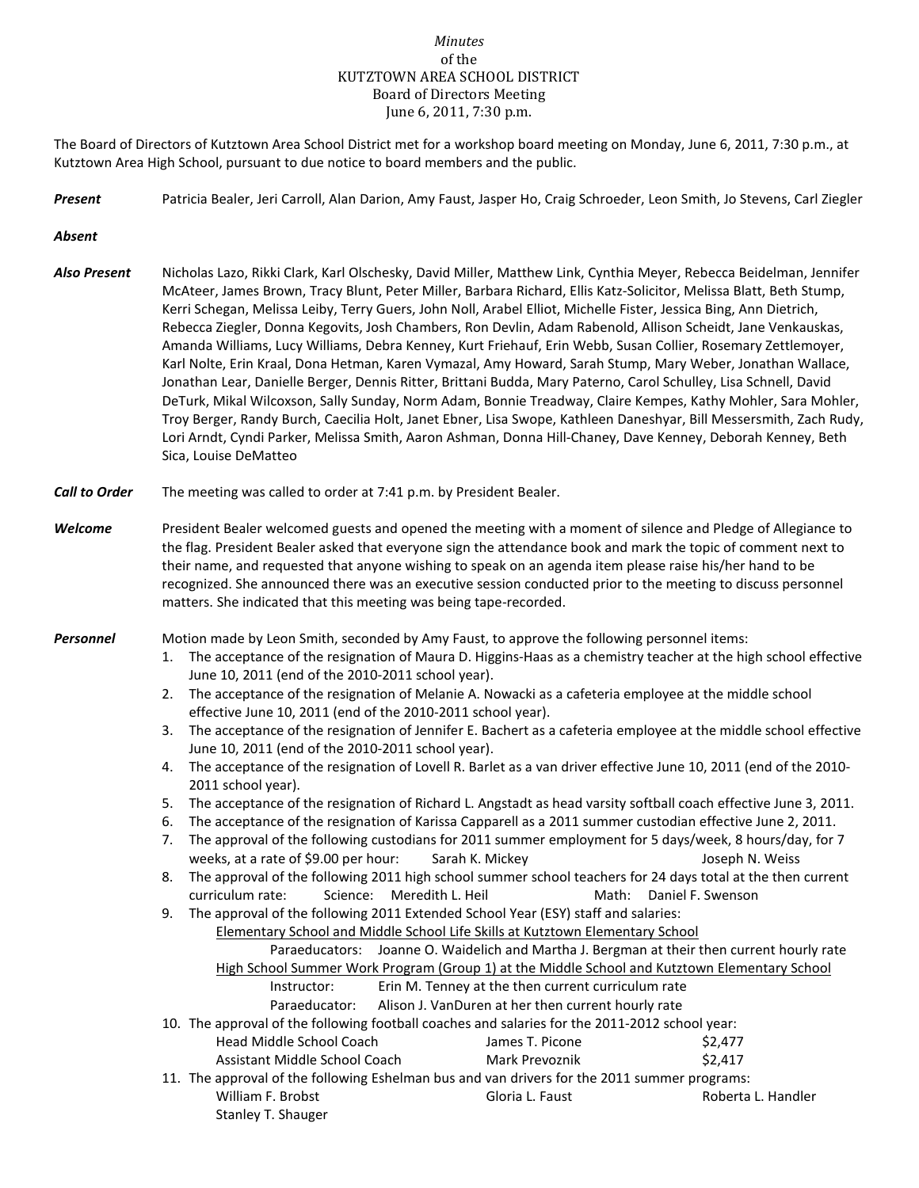## *Minutes* of the KUTZTOWN AREA SCHOOL DISTRICT Board of Directors Meeting June 6, 2011, 7:30 p.m.

The Board of Directors of Kutztown Area School District met for a workshop board meeting on Monday, June 6, 2011, 7:30 p.m., at Kutztown Area High School, pursuant to due notice to board members and the public.

*Present* Patricia Bealer, Jeri Carroll, Alan Darion, Amy Faust, Jasper Ho, Craig Schroeder, Leon Smith, Jo Stevens, Carl Ziegler

*Absent*

- *Also Present* Nicholas Lazo, Rikki Clark, Karl Olschesky, David Miller, Matthew Link, Cynthia Meyer, Rebecca Beidelman, Jennifer McAteer, James Brown, Tracy Blunt, Peter Miller, Barbara Richard, Ellis Katz-Solicitor, Melissa Blatt, Beth Stump, Kerri Schegan, Melissa Leiby, Terry Guers, John Noll, Arabel Elliot, Michelle Fister, Jessica Bing, Ann Dietrich, Rebecca Ziegler, Donna Kegovits, Josh Chambers, Ron Devlin, Adam Rabenold, Allison Scheidt, Jane Venkauskas, Amanda Williams, Lucy Williams, Debra Kenney, Kurt Friehauf, Erin Webb, Susan Collier, Rosemary Zettlemoyer, Karl Nolte, Erin Kraal, Dona Hetman, Karen Vymazal, Amy Howard, Sarah Stump, Mary Weber, Jonathan Wallace, Jonathan Lear, Danielle Berger, Dennis Ritter, Brittani Budda, Mary Paterno, Carol Schulley, Lisa Schnell, David DeTurk, Mikal Wilcoxson, Sally Sunday, Norm Adam, Bonnie Treadway, Claire Kempes, Kathy Mohler, Sara Mohler, Troy Berger, Randy Burch, Caecilia Holt, Janet Ebner, Lisa Swope, Kathleen Daneshyar, Bill Messersmith, Zach Rudy, Lori Arndt, Cyndi Parker, Melissa Smith, Aaron Ashman, Donna Hill-Chaney, Dave Kenney, Deborah Kenney, Beth Sica, Louise DeMatteo
- *Call to Order* The meeting was called to order at 7:41 p.m. by President Bealer.
- *Welcome* President Bealer welcomed guests and opened the meeting with a moment of silence and Pledge of Allegiance to the flag. President Bealer asked that everyone sign the attendance book and mark the topic of comment next to their name, and requested that anyone wishing to speak on an agenda item please raise his/her hand to be recognized. She announced there was an executive session conducted prior to the meeting to discuss personnel matters. She indicated that this meeting was being tape-recorded.

*Personnel* Motion made by Leon Smith, seconded by Amy Faust, to approve the following personnel items:

- 1. The acceptance of the resignation of Maura D. Higgins-Haas as a chemistry teacher at the high school effective June 10, 2011 (end of the 2010-2011 school year).
- 2. The acceptance of the resignation of Melanie A. Nowacki as a cafeteria employee at the middle school effective June 10, 2011 (end of the 2010-2011 school year).
- 3. The acceptance of the resignation of Jennifer E. Bachert as a cafeteria employee at the middle school effective June 10, 2011 (end of the 2010-2011 school year).
- 4. The acceptance of the resignation of Lovell R. Barlet as a van driver effective June 10, 2011 (end of the 2010- 2011 school year).
- 5. The acceptance of the resignation of Richard L. Angstadt as head varsity softball coach effective June 3, 2011.
- 6. The acceptance of the resignation of Karissa Capparell as a 2011 summer custodian effective June 2, 2011.
- 7. The approval of the following custodians for 2011 summer employment for 5 days/week, 8 hours/day, for 7 weeks, at a rate of \$9.00 per hour: Sarah K. Mickey Sarah K. Doseph N. Weiss
- 8. The approval of the following 2011 high school summer school teachers for 24 days total at the then current curriculum rate: Science: Meredith L. Heil Math: Daniel F. Swenson
- 9. The approval of the following 2011 Extended School Year (ESY) staff and salaries:

Elementary School and Middle School Life Skills at Kutztown Elementary School

Paraeducators: Joanne O. Waidelich and Martha J. Bergman at their then current hourly rate High School Summer Work Program (Group 1) at the Middle School and Kutztown Elementary School

## Instructor: Erin M. Tenney at the then current curriculum rate

Paraeducator: Alison J. VanDuren at her then current hourly rate

10. The approval of the following football coaches and salaries for the 2011-2012 school year:

| Head Middle School Coach      | James T. Picone | \$2,477 |
|-------------------------------|-----------------|---------|
| Assistant Middle School Coach | Mark Prevoznik  | \$2.417 |

11. The approval of the following Eshelman bus and van drivers for the 2011 summer programs: William F. Brobst **Gloria L. Faust** Gloria L. Faust **Roberta L. Handler** Stanley T. Shauger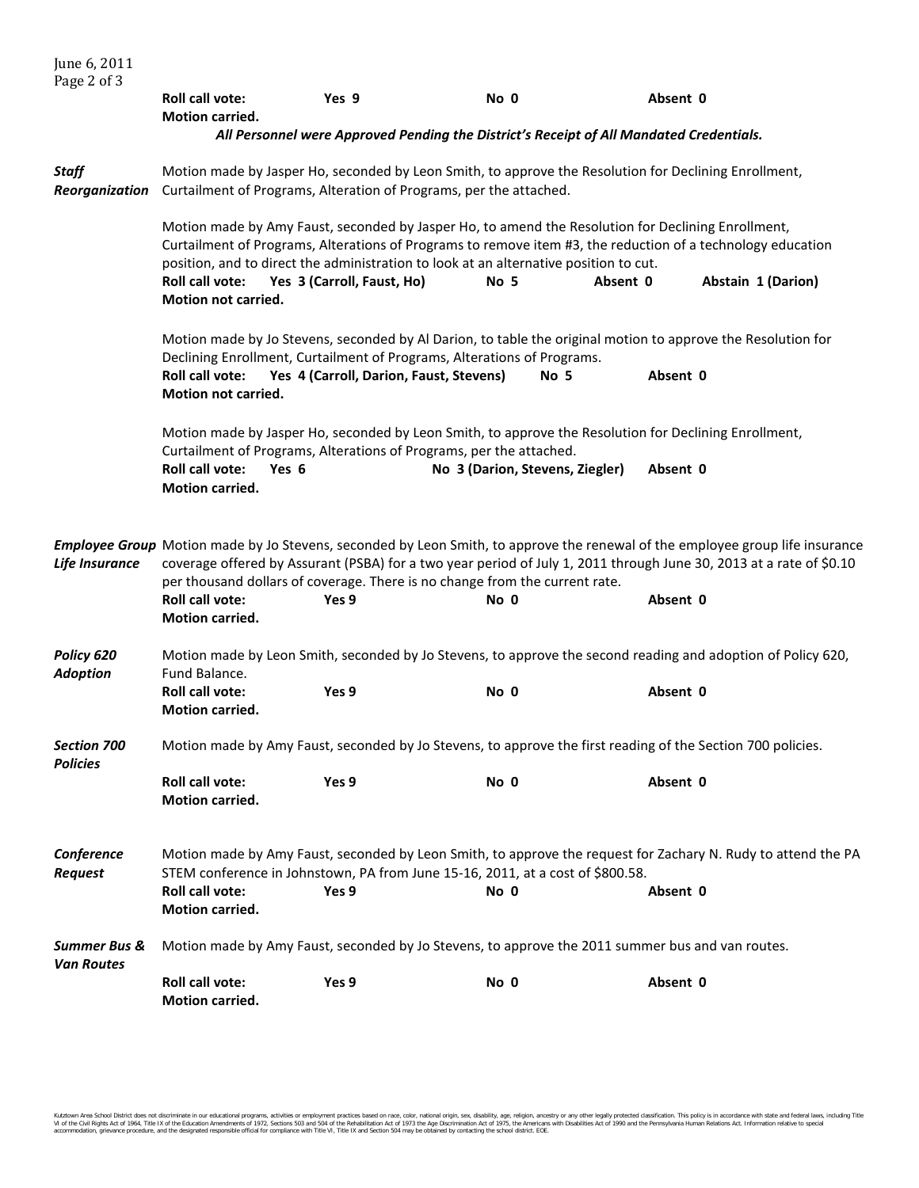| June 6, 2011<br>Page 2 of 3                  |                                                                                                                                                                                                                                                                                                                                     |                                         |                                                                                                                                                                                                                                                                                                                    |          |                    |  |
|----------------------------------------------|-------------------------------------------------------------------------------------------------------------------------------------------------------------------------------------------------------------------------------------------------------------------------------------------------------------------------------------|-----------------------------------------|--------------------------------------------------------------------------------------------------------------------------------------------------------------------------------------------------------------------------------------------------------------------------------------------------------------------|----------|--------------------|--|
|                                              | <b>Roll call vote:</b><br>Motion carried.                                                                                                                                                                                                                                                                                           | Yes 9                                   | No 0                                                                                                                                                                                                                                                                                                               | Absent 0 |                    |  |
|                                              |                                                                                                                                                                                                                                                                                                                                     |                                         | All Personnel were Approved Pending the District's Receipt of All Mandated Credentials.                                                                                                                                                                                                                            |          |                    |  |
| Staff<br>Reorganization                      | Motion made by Jasper Ho, seconded by Leon Smith, to approve the Resolution for Declining Enrollment,<br>Curtailment of Programs, Alteration of Programs, per the attached.                                                                                                                                                         |                                         |                                                                                                                                                                                                                                                                                                                    |          |                    |  |
|                                              | <b>Roll call vote:</b><br>Motion not carried.                                                                                                                                                                                                                                                                                       | Yes 3 (Carroll, Faust, Ho)              | Motion made by Amy Faust, seconded by Jasper Ho, to amend the Resolution for Declining Enrollment,<br>Curtailment of Programs, Alterations of Programs to remove item #3, the reduction of a technology education<br>position, and to direct the administration to look at an alternative position to cut.<br>No 5 | Absent 0 | Abstain 1 (Darion) |  |
|                                              |                                                                                                                                                                                                                                                                                                                                     |                                         |                                                                                                                                                                                                                                                                                                                    |          |                    |  |
|                                              | <b>Roll call vote:</b><br><b>Motion not carried.</b>                                                                                                                                                                                                                                                                                | Yes 4 (Carroll, Darion, Faust, Stevens) | Motion made by Jo Stevens, seconded by Al Darion, to table the original motion to approve the Resolution for<br>Declining Enrollment, Curtailment of Programs, Alterations of Programs.<br>No 5                                                                                                                    | Absent 0 |                    |  |
|                                              | Motion made by Jasper Ho, seconded by Leon Smith, to approve the Resolution for Declining Enrollment,<br>Curtailment of Programs, Alterations of Programs, per the attached.<br><b>Roll call vote:</b><br>Absent 0<br>Yes 6<br>No 3 (Darion, Stevens, Ziegler)<br><b>Motion carried.</b>                                            |                                         |                                                                                                                                                                                                                                                                                                                    |          |                    |  |
| Life Insurance                               | Employee Group Motion made by Jo Stevens, seconded by Leon Smith, to approve the renewal of the employee group life insurance<br>coverage offered by Assurant (PSBA) for a two year period of July 1, 2011 through June 30, 2013 at a rate of \$0.10<br>per thousand dollars of coverage. There is no change from the current rate. |                                         |                                                                                                                                                                                                                                                                                                                    |          |                    |  |
|                                              | <b>Roll call vote:</b><br><b>Motion carried.</b>                                                                                                                                                                                                                                                                                    | Yes 9                                   | No 0                                                                                                                                                                                                                                                                                                               | Absent 0 |                    |  |
| Policy 620<br><b>Adoption</b>                | Motion made by Leon Smith, seconded by Jo Stevens, to approve the second reading and adoption of Policy 620,<br>Fund Balance.                                                                                                                                                                                                       |                                         |                                                                                                                                                                                                                                                                                                                    |          |                    |  |
|                                              | Roll call vote:<br><b>Motion carried.</b>                                                                                                                                                                                                                                                                                           | Yes 9                                   | No 0                                                                                                                                                                                                                                                                                                               | Absent 0 |                    |  |
| <b>Section 700</b><br><b>Policies</b>        | Motion made by Amy Faust, seconded by Jo Stevens, to approve the first reading of the Section 700 policies.                                                                                                                                                                                                                         |                                         |                                                                                                                                                                                                                                                                                                                    |          |                    |  |
|                                              | <b>Roll call vote:</b><br>Motion carried.                                                                                                                                                                                                                                                                                           | Yes 9                                   | No 0                                                                                                                                                                                                                                                                                                               | Absent 0 |                    |  |
| Conference<br><b>Request</b>                 | Motion made by Amy Faust, seconded by Leon Smith, to approve the request for Zachary N. Rudy to attend the PA<br>STEM conference in Johnstown, PA from June 15-16, 2011, at a cost of \$800.58.                                                                                                                                     |                                         |                                                                                                                                                                                                                                                                                                                    |          |                    |  |
|                                              | Roll call vote:<br>Motion carried.                                                                                                                                                                                                                                                                                                  | Yes 9                                   | No 0                                                                                                                                                                                                                                                                                                               | Absent 0 |                    |  |
| <b>Summer Bus &amp;</b><br><b>Van Routes</b> | Motion made by Amy Faust, seconded by Jo Stevens, to approve the 2011 summer bus and van routes.                                                                                                                                                                                                                                    |                                         |                                                                                                                                                                                                                                                                                                                    |          |                    |  |
|                                              | <b>Roll call vote:</b><br>Motion carried.                                                                                                                                                                                                                                                                                           | Yes 9                                   | No 0                                                                                                                                                                                                                                                                                                               | Absent 0 |                    |  |